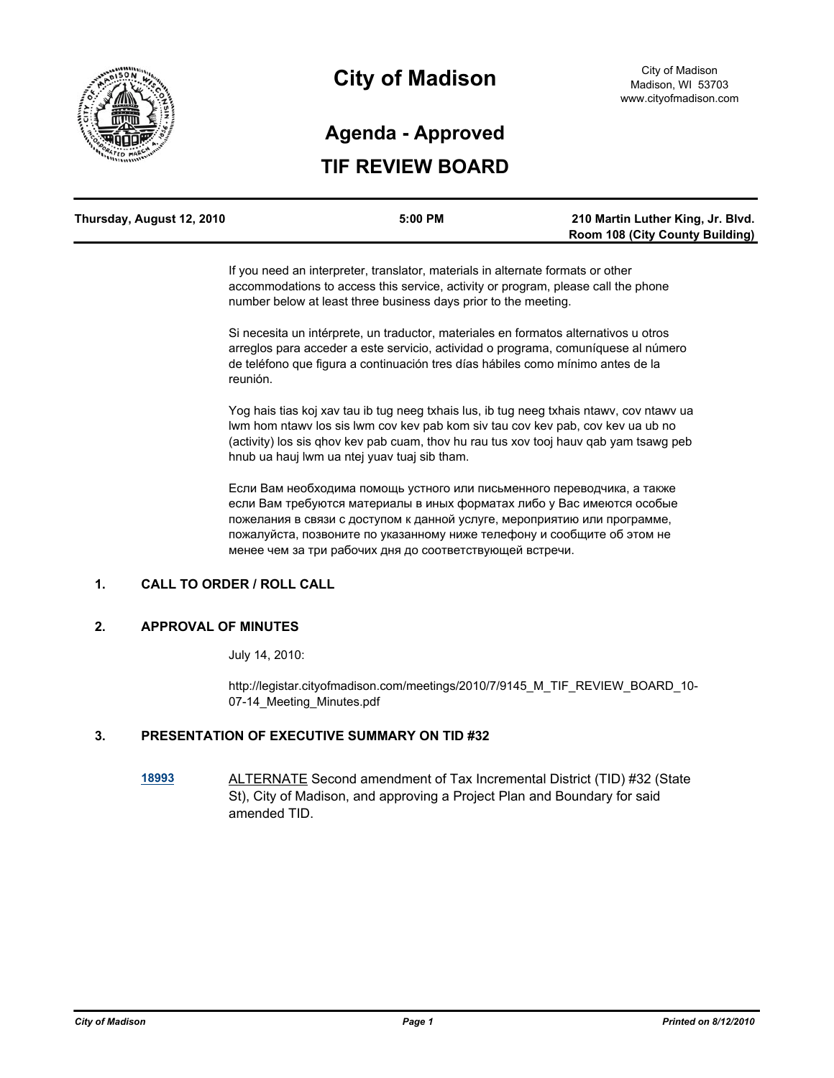

# **City of Madison**

# **TIF REVIEW BOARD Agenda - Approved**

| Thursday, August 12, 2010 | 5:00 PM | 210 Martin Luther King, Jr. Blvd.      |
|---------------------------|---------|----------------------------------------|
|                           |         | <b>Room 108 (City County Building)</b> |

If you need an interpreter, translator, materials in alternate formats or other accommodations to access this service, activity or program, please call the phone number below at least three business days prior to the meeting.

Si necesita un intérprete, un traductor, materiales en formatos alternativos u otros arreglos para acceder a este servicio, actividad o programa, comuníquese al número de teléfono que figura a continuación tres días hábiles como mínimo antes de la reunión.

Yog hais tias koj xav tau ib tug neeg txhais lus, ib tug neeg txhais ntawv, cov ntawv ua lwm hom ntawv los sis lwm cov kev pab kom siv tau cov kev pab, cov kev ua ub no (activity) los sis qhov kev pab cuam, thov hu rau tus xov tooj hauv qab yam tsawg peb hnub ua hauj lwm ua ntej yuav tuaj sib tham.

Если Вам необходима помощь устного или письменного переводчика, а также если Вам требуются материалы в иных форматах либо у Вас имеются особые пожелания в связи с доступом к данной услуге, мероприятию или программе, пожалуйста, позвоните по указанному ниже телефону и сообщите об этом не менее чем за три рабочих дня до соответствующей встречи.

# **1. CALL TO ORDER / ROLL CALL**

#### **2. APPROVAL OF MINUTES**

July 14, 2010:

http://legistar.cityofmadison.com/meetings/2010/7/9145\_M\_TIF\_REVIEW\_BOARD\_10- 07-14 Meeting Minutes.pdf

### **3. PRESENTATION OF EXECUTIVE SUMMARY ON TID #32**

**[18993](http://legistar.cityofmadison.com/detailreport/matter.aspx?key=21040)** ALTERNATE Second amendment of Tax Incremental District (TID) #32 (State St), City of Madison, and approving a Project Plan and Boundary for said amended TID.